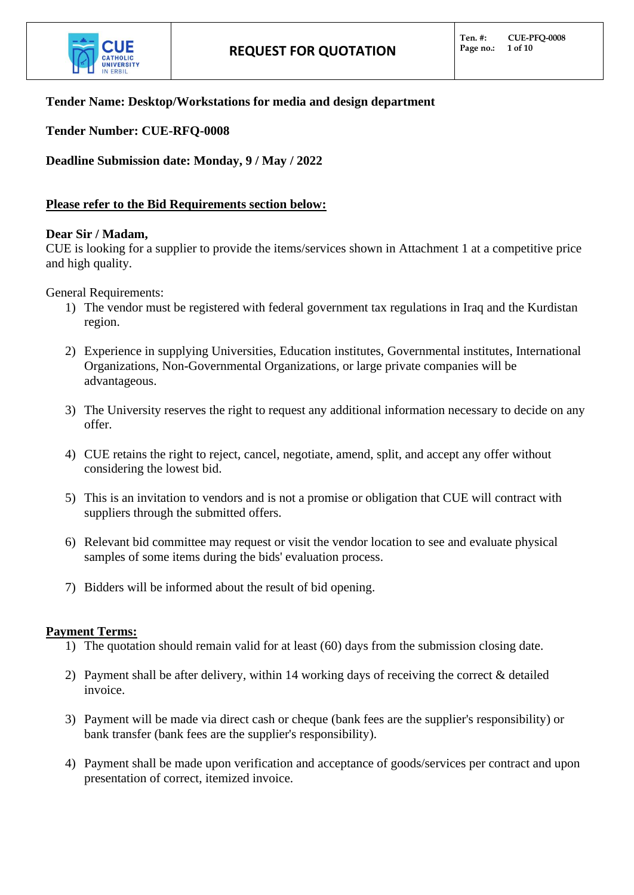

## **Tender Name: Desktop/Workstations for media and design department**

**Tender Number: CUE-RFQ-0008**

**Deadline Submission date: Monday, 9 / May / 2022**

## **Please refer to the Bid Requirements section below:**

#### **Dear Sir / Madam,**

CUE is looking for a supplier to provide the items/services shown in Attachment 1 at a competitive price and high quality.

General Requirements:

- 1) The vendor must be registered with federal government tax regulations in Iraq and the Kurdistan region.
- 2) Experience in supplying Universities, Education institutes, Governmental institutes, International Organizations, Non-Governmental Organizations, or large private companies will be advantageous.
- 3) The University reserves the right to request any additional information necessary to decide on any offer.
- 4) CUE retains the right to reject, cancel, negotiate, amend, split, and accept any offer without considering the lowest bid.
- 5) This is an invitation to vendors and is not a promise or obligation that CUE will contract with suppliers through the submitted offers.
- 6) Relevant bid committee may request or visit the vendor location to see and evaluate physical samples of some items during the bids' evaluation process.
- 7) Bidders will be informed about the result of bid opening.

#### **Payment Terms:**

- 1) The quotation should remain valid for at least (60) days from the submission closing date.
- 2) Payment shall be after delivery, within 14 working days of receiving the correct & detailed invoice.
- 3) Payment will be made via direct cash or cheque (bank fees are the supplier's responsibility) or bank transfer (bank fees are the supplier's responsibility).
- 4) Payment shall be made upon verification and acceptance of goods/services per contract and upon presentation of correct, itemized invoice.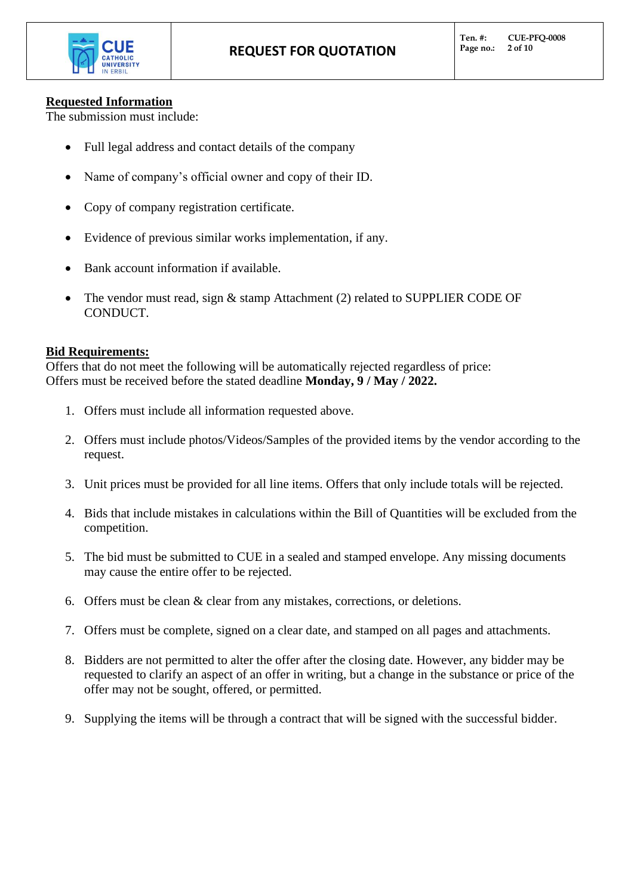

# **Requested Information**

The submission must include:

- Full legal address and contact details of the company
- Name of company's official owner and copy of their ID.
- Copy of company registration certificate.
- Evidence of previous similar works implementation, if any.
- Bank account information if available.
- The vendor must read, sign  $&$  stamp Attachment (2) related to SUPPLIER CODE OF CONDUCT.

## **Bid Requirements:**

Offers that do not meet the following will be automatically rejected regardless of price: Offers must be received before the stated deadline **Monday, 9 / May / 2022.**

- 1. Offers must include all information requested above.
- 2. Offers must include photos/Videos/Samples of the provided items by the vendor according to the request.
- 3. Unit prices must be provided for all line items. Offers that only include totals will be rejected.
- 4. Bids that include mistakes in calculations within the Bill of Quantities will be excluded from the competition.
- 5. The bid must be submitted to CUE in a sealed and stamped envelope. Any missing documents may cause the entire offer to be rejected.
- 6. Offers must be clean & clear from any mistakes, corrections, or deletions.
- 7. Offers must be complete, signed on a clear date, and stamped on all pages and attachments.
- 8. Bidders are not permitted to alter the offer after the closing date. However, any bidder may be requested to clarify an aspect of an offer in writing, but a change in the substance or price of the offer may not be sought, offered, or permitted.
- 9. Supplying the items will be through a contract that will be signed with the successful bidder.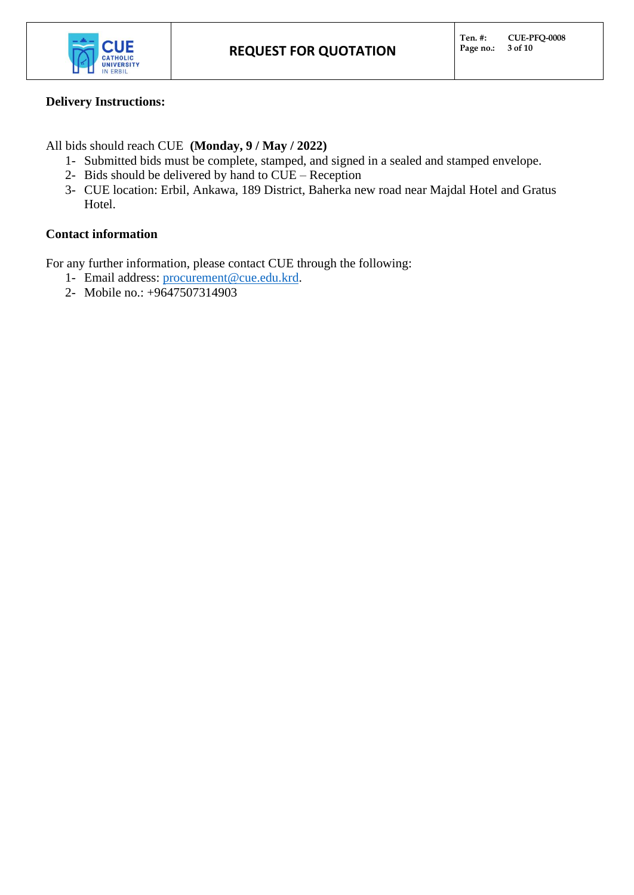

## **Delivery Instructions:**

All bids should reach CUE **(Monday, 9 / May / 2022)**

- 1- Submitted bids must be complete, stamped, and signed in a sealed and stamped envelope.
- 2- Bids should be delivered by hand to CUE Reception
- 3- CUE location: Erbil, Ankawa, 189 District, Baherka new road near Majdal Hotel and Gratus Hotel.

# **Contact information**

For any further information, please contact CUE through the following:

- 1- Email address: [procurement@cue.edu.krd.](mailto:procurement@cue.edu.krd)
- 2- Mobile no.: +9647507314903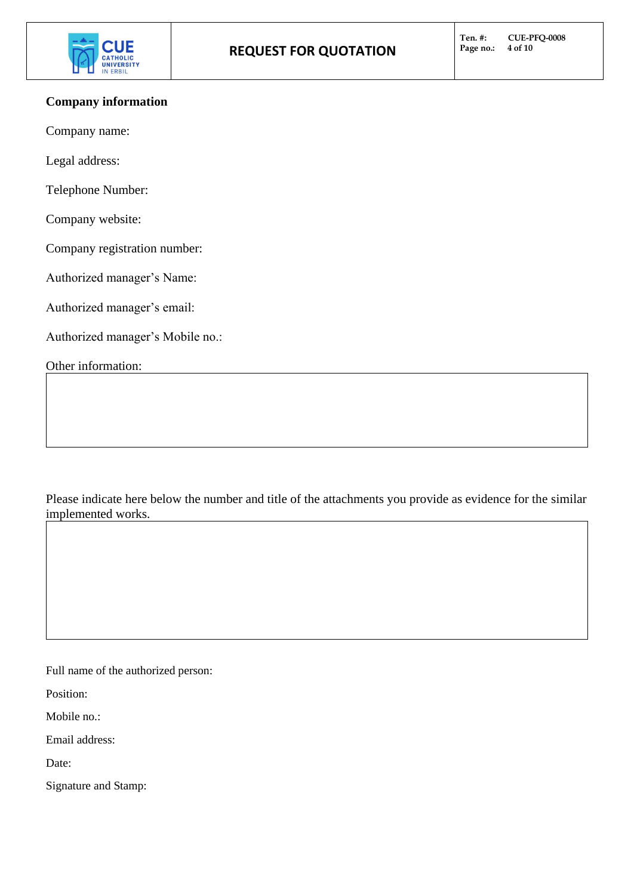

### **Company information**

Company name:

Legal address:

Telephone Number:

Company website:

Company registration number:

Authorized manager's Name:

Authorized manager's email:

Authorized manager's Mobile no.:

Other information:

Please indicate here below the number and title of the attachments you provide as evidence for the similar implemented works.

Full name of the authorized person:

Position:

Mobile no.:

Email address:

Date:

Signature and Stamp: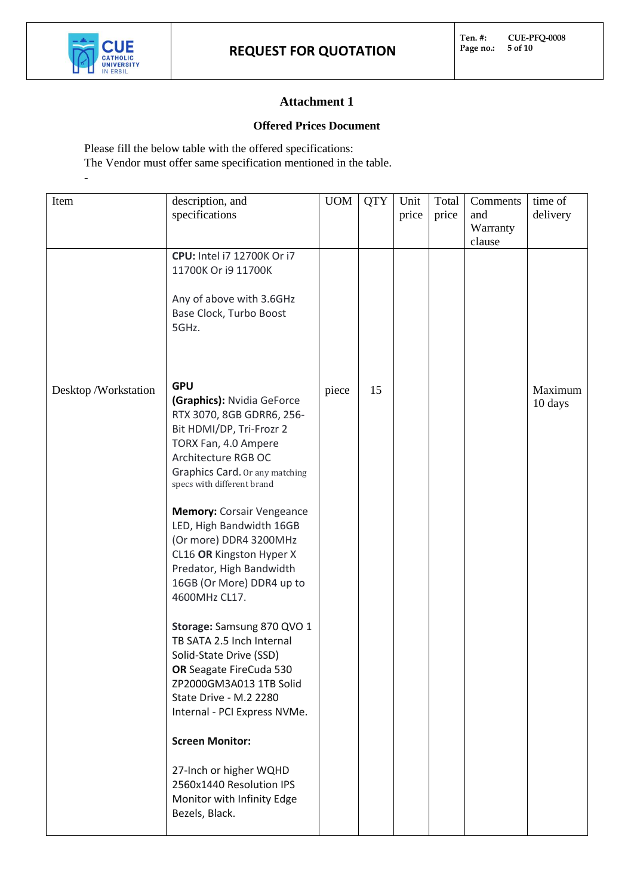

-

# **Attachment 1**

#### **Offered Prices Document**

Please fill the below table with the offered specifications:

The Vendor must offer same specification mentioned in the table.

| Item                | description, and                                             | <b>UOM</b> | <b>QTY</b> | Unit  | Total | Comments | time of  |
|---------------------|--------------------------------------------------------------|------------|------------|-------|-------|----------|----------|
|                     | specifications                                               |            |            | price | price | and      | delivery |
|                     |                                                              |            |            |       |       | Warranty |          |
|                     |                                                              |            |            |       |       | clause   |          |
|                     | CPU: Intel i7 12700K Or i7                                   |            |            |       |       |          |          |
|                     | 11700K Or i9 11700K                                          |            |            |       |       |          |          |
|                     |                                                              |            |            |       |       |          |          |
|                     | Any of above with 3.6GHz                                     |            |            |       |       |          |          |
|                     | Base Clock, Turbo Boost                                      |            |            |       |       |          |          |
|                     | 5GHz.                                                        |            |            |       |       |          |          |
|                     |                                                              |            |            |       |       |          |          |
|                     |                                                              |            |            |       |       |          |          |
|                     | <b>GPU</b>                                                   |            |            |       |       |          |          |
| Desktop/Workstation | (Graphics): Nvidia GeForce                                   | piece      | 15         |       |       |          | Maximum  |
|                     | RTX 3070, 8GB GDRR6, 256-                                    |            |            |       |       |          | 10 days  |
|                     | Bit HDMI/DP, Tri-Frozr 2                                     |            |            |       |       |          |          |
|                     | TORX Fan, 4.0 Ampere                                         |            |            |       |       |          |          |
|                     | Architecture RGB OC                                          |            |            |       |       |          |          |
|                     | Graphics Card. Or any matching                               |            |            |       |       |          |          |
|                     | specs with different brand                                   |            |            |       |       |          |          |
|                     |                                                              |            |            |       |       |          |          |
|                     | <b>Memory: Corsair Vengeance</b><br>LED, High Bandwidth 16GB |            |            |       |       |          |          |
|                     | (Or more) DDR4 3200MHz                                       |            |            |       |       |          |          |
|                     | CL16 OR Kingston Hyper X                                     |            |            |       |       |          |          |
|                     | Predator, High Bandwidth                                     |            |            |       |       |          |          |
|                     | 16GB (Or More) DDR4 up to                                    |            |            |       |       |          |          |
|                     | 4600MHz CL17.                                                |            |            |       |       |          |          |
|                     |                                                              |            |            |       |       |          |          |
|                     | Storage: Samsung 870 QVO 1                                   |            |            |       |       |          |          |
|                     | TB SATA 2.5 Inch Internal                                    |            |            |       |       |          |          |
|                     | Solid-State Drive (SSD)                                      |            |            |       |       |          |          |
|                     | OR Seagate FireCuda 530                                      |            |            |       |       |          |          |
|                     | ZP2000GM3A013 1TB Solid                                      |            |            |       |       |          |          |
|                     | State Drive - M.2 2280                                       |            |            |       |       |          |          |
|                     | Internal - PCI Express NVMe.                                 |            |            |       |       |          |          |
|                     | <b>Screen Monitor:</b>                                       |            |            |       |       |          |          |
|                     |                                                              |            |            |       |       |          |          |
|                     | 27-Inch or higher WQHD<br>2560x1440 Resolution IPS           |            |            |       |       |          |          |
|                     | Monitor with Infinity Edge                                   |            |            |       |       |          |          |
|                     | Bezels, Black.                                               |            |            |       |       |          |          |
|                     |                                                              |            |            |       |       |          |          |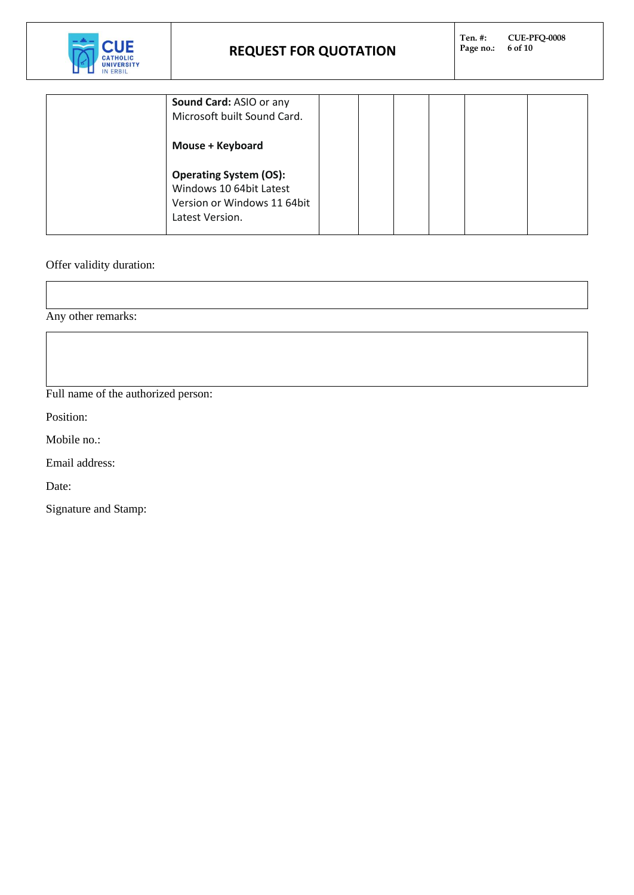

| Sound Card: ASIO or any<br>Microsoft built Sound Card.<br>Mouse + Keyboard                                 |  |  |  |
|------------------------------------------------------------------------------------------------------------|--|--|--|
| <b>Operating System (OS):</b><br>Windows 10 64bit Latest<br>Version or Windows 11 64bit<br>Latest Version. |  |  |  |

Offer validity duration:

Any other remarks:

Full name of the authorized person:

Position:

Mobile no.:

Email address:

Date:

Signature and Stamp: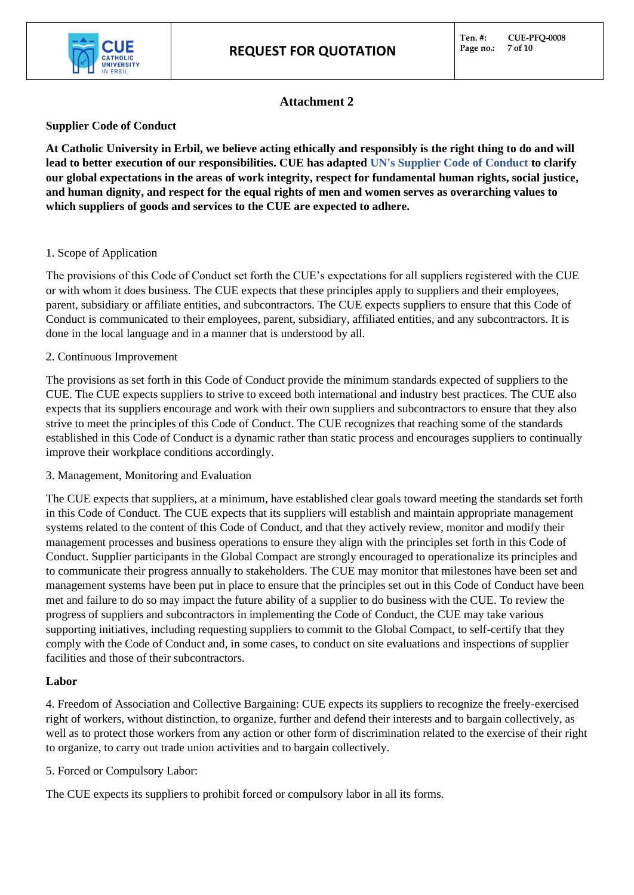

## **Attachment 2**

### **Supplier Code of Conduct**

**At Catholic University in Erbil, we believe acting ethically and responsibly is the right thing to do and will lead to better execution of our responsibilities. CUE has adapted UN's Supplier Code of Conduct to clarify our global expectations in the areas of work integrity, respect for fundamental human rights, social justice, and human dignity, and respect for the equal rights of men and women serves as overarching values to which suppliers of goods and services to the CUE are expected to adhere.** 

#### 1. Scope of Application

The provisions of this Code of Conduct set forth the CUE's expectations for all suppliers registered with the CUE or with whom it does business. The CUE expects that these principles apply to suppliers and their employees, parent, subsidiary or affiliate entities, and subcontractors. The CUE expects suppliers to ensure that this Code of Conduct is communicated to their employees, parent, subsidiary, affiliated entities, and any subcontractors. It is done in the local language and in a manner that is understood by all.

#### 2. Continuous Improvement

The provisions as set forth in this Code of Conduct provide the minimum standards expected of suppliers to the CUE. The CUE expects suppliers to strive to exceed both international and industry best practices. The CUE also expects that its suppliers encourage and work with their own suppliers and subcontractors to ensure that they also strive to meet the principles of this Code of Conduct. The CUE recognizes that reaching some of the standards established in this Code of Conduct is a dynamic rather than static process and encourages suppliers to continually improve their workplace conditions accordingly.

3. Management, Monitoring and Evaluation

The CUE expects that suppliers, at a minimum, have established clear goals toward meeting the standards set forth in this Code of Conduct. The CUE expects that its suppliers will establish and maintain appropriate management systems related to the content of this Code of Conduct, and that they actively review, monitor and modify their management processes and business operations to ensure they align with the principles set forth in this Code of Conduct. Supplier participants in the Global Compact are strongly encouraged to operationalize its principles and to communicate their progress annually to stakeholders. The CUE may monitor that milestones have been set and management systems have been put in place to ensure that the principles set out in this Code of Conduct have been met and failure to do so may impact the future ability of a supplier to do business with the CUE. To review the progress of suppliers and subcontractors in implementing the Code of Conduct, the CUE may take various supporting initiatives, including requesting suppliers to commit to the Global Compact, to self-certify that they comply with the Code of Conduct and, in some cases, to conduct on site evaluations and inspections of supplier facilities and those of their subcontractors.

#### **Labor**

4. Freedom of Association and Collective Bargaining: CUE expects its suppliers to recognize the freely-exercised right of workers, without distinction, to organize, further and defend their interests and to bargain collectively, as well as to protect those workers from any action or other form of discrimination related to the exercise of their right to organize, to carry out trade union activities and to bargain collectively.

5. Forced or Compulsory Labor:

The CUE expects its suppliers to prohibit forced or compulsory labor in all its forms.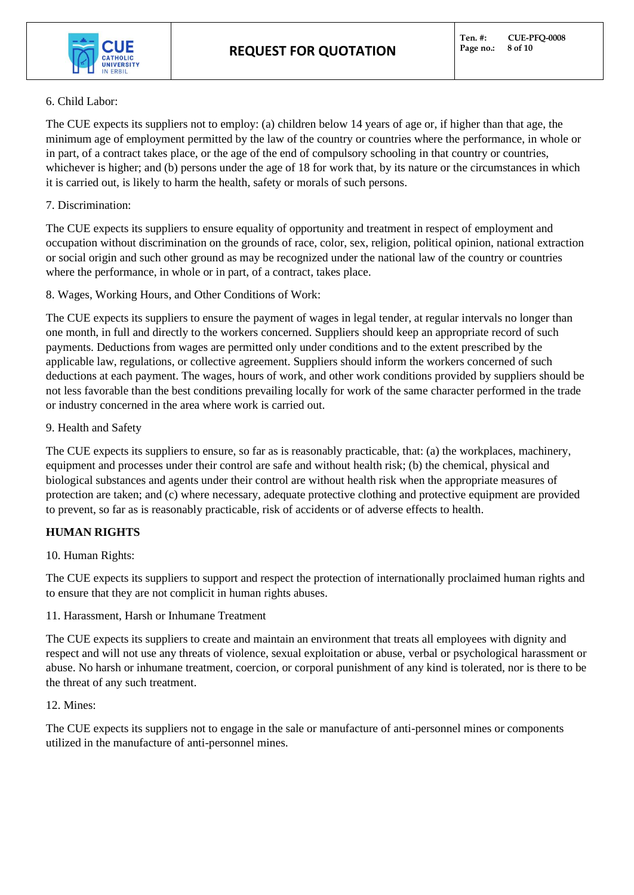

#### 6. Child Labor:

The CUE expects its suppliers not to employ: (a) children below 14 years of age or, if higher than that age, the minimum age of employment permitted by the law of the country or countries where the performance, in whole or in part, of a contract takes place, or the age of the end of compulsory schooling in that country or countries, whichever is higher; and (b) persons under the age of 18 for work that, by its nature or the circumstances in which it is carried out, is likely to harm the health, safety or morals of such persons.

### 7. Discrimination:

The CUE expects its suppliers to ensure equality of opportunity and treatment in respect of employment and occupation without discrimination on the grounds of race, color, sex, religion, political opinion, national extraction or social origin and such other ground as may be recognized under the national law of the country or countries where the performance, in whole or in part, of a contract, takes place.

8. Wages, Working Hours, and Other Conditions of Work:

The CUE expects its suppliers to ensure the payment of wages in legal tender, at regular intervals no longer than one month, in full and directly to the workers concerned. Suppliers should keep an appropriate record of such payments. Deductions from wages are permitted only under conditions and to the extent prescribed by the applicable law, regulations, or collective agreement. Suppliers should inform the workers concerned of such deductions at each payment. The wages, hours of work, and other work conditions provided by suppliers should be not less favorable than the best conditions prevailing locally for work of the same character performed in the trade or industry concerned in the area where work is carried out.

#### 9. Health and Safety

The CUE expects its suppliers to ensure, so far as is reasonably practicable, that: (a) the workplaces, machinery, equipment and processes under their control are safe and without health risk; (b) the chemical, physical and biological substances and agents under their control are without health risk when the appropriate measures of protection are taken; and (c) where necessary, adequate protective clothing and protective equipment are provided to prevent, so far as is reasonably practicable, risk of accidents or of adverse effects to health.

## **HUMAN RIGHTS**

#### 10. Human Rights:

The CUE expects its suppliers to support and respect the protection of internationally proclaimed human rights and to ensure that they are not complicit in human rights abuses.

11. Harassment, Harsh or Inhumane Treatment

The CUE expects its suppliers to create and maintain an environment that treats all employees with dignity and respect and will not use any threats of violence, sexual exploitation or abuse, verbal or psychological harassment or abuse. No harsh or inhumane treatment, coercion, or corporal punishment of any kind is tolerated, nor is there to be the threat of any such treatment.

#### 12. Mines:

The CUE expects its suppliers not to engage in the sale or manufacture of anti-personnel mines or components utilized in the manufacture of anti-personnel mines.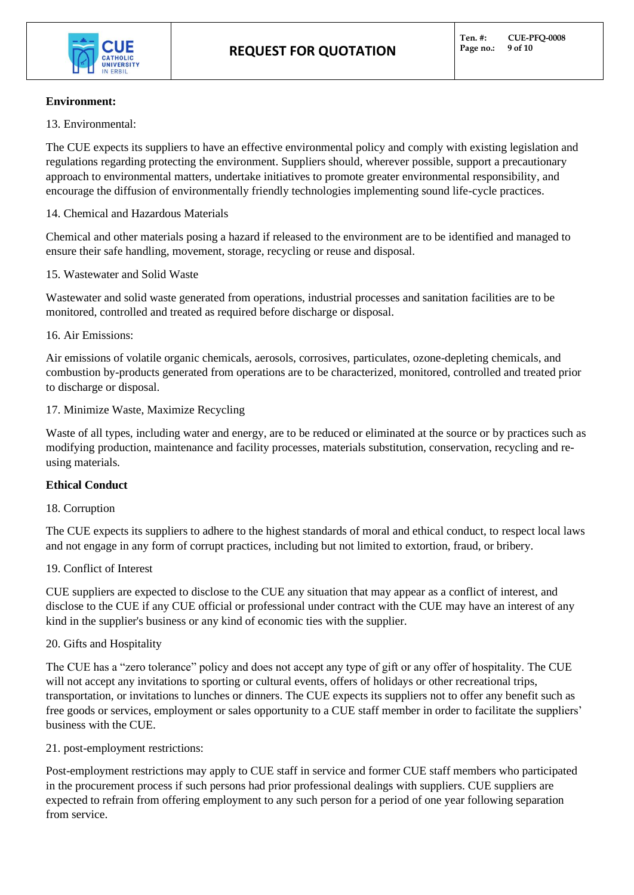

#### **Environment:**

13. Environmental:

The CUE expects its suppliers to have an effective environmental policy and comply with existing legislation and regulations regarding protecting the environment. Suppliers should, wherever possible, support a precautionary approach to environmental matters, undertake initiatives to promote greater environmental responsibility, and encourage the diffusion of environmentally friendly technologies implementing sound life-cycle practices.

14. Chemical and Hazardous Materials

Chemical and other materials posing a hazard if released to the environment are to be identified and managed to ensure their safe handling, movement, storage, recycling or reuse and disposal.

#### 15. Wastewater and Solid Waste

Wastewater and solid waste generated from operations, industrial processes and sanitation facilities are to be monitored, controlled and treated as required before discharge or disposal.

#### 16. Air Emissions:

Air emissions of volatile organic chemicals, aerosols, corrosives, particulates, ozone-depleting chemicals, and combustion by-products generated from operations are to be characterized, monitored, controlled and treated prior to discharge or disposal.

#### 17. Minimize Waste, Maximize Recycling

Waste of all types, including water and energy, are to be reduced or eliminated at the source or by practices such as modifying production, maintenance and facility processes, materials substitution, conservation, recycling and reusing materials.

#### **Ethical Conduct**

#### 18. Corruption

The CUE expects its suppliers to adhere to the highest standards of moral and ethical conduct, to respect local laws and not engage in any form of corrupt practices, including but not limited to extortion, fraud, or bribery.

#### 19. Conflict of Interest

CUE suppliers are expected to disclose to the CUE any situation that may appear as a conflict of interest, and disclose to the CUE if any CUE official or professional under contract with the CUE may have an interest of any kind in the supplier's business or any kind of economic ties with the supplier.

#### 20. Gifts and Hospitality

The CUE has a "zero tolerance" policy and does not accept any type of gift or any offer of hospitality. The CUE will not accept any invitations to sporting or cultural events, offers of holidays or other recreational trips, transportation, or invitations to lunches or dinners. The CUE expects its suppliers not to offer any benefit such as free goods or services, employment or sales opportunity to a CUE staff member in order to facilitate the suppliers' business with the CUE.

21. post-employment restrictions:

Post-employment restrictions may apply to CUE staff in service and former CUE staff members who participated in the procurement process if such persons had prior professional dealings with suppliers. CUE suppliers are expected to refrain from offering employment to any such person for a period of one year following separation from service.